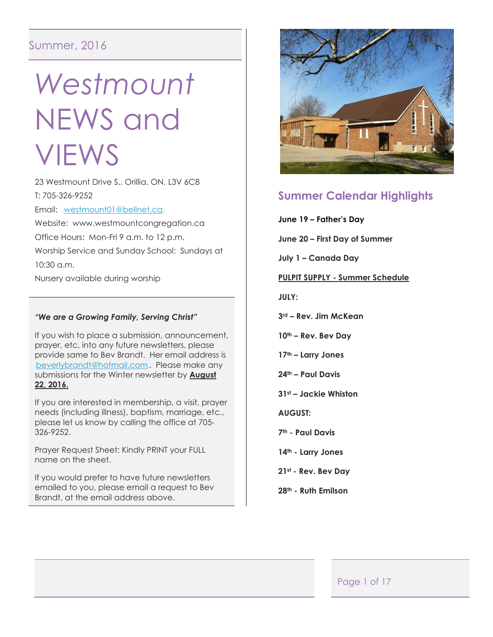# Summer, 2016

# *Westmount*  NEWS and VIEWS

23 Westmount Drive S., Orillia, ON, L3V 6C8 T: 705-326-9252

Email: [westmount01@bellnet.ca](mailto:westmount01@bellnet.ca).

Website: www.westmountcongregation.ca Office Hours: Mon-Fri 9 a.m. to 12 p.m. Worship Service and Sunday School: Sundays at 10:30 a.m.

Nursery available during worship

#### *"We are a Growing Family, Serving Christ"*

If you wish to place a submission, announcement, prayer, etc. into any future newsletters, please provide same to Bev Brandt. Her email address is [beverlybrandt@hotmail.com](mailto:beverlybrandt@hotmail.com). Please make any submissions for the Winter newsletter by **August 22, 2016.**

If you are interested in membership, a visit, prayer needs (including illness), baptism, marriage, etc., please let us know by calling the office at 705- 326-9252.

Prayer Request Sheet: Kindly PRINT your FULL name on the sheet.

If you would prefer to have future newsletters emailed to you, please email a request to Bev Brandt, at the email address above.



# **Summer Calendar Highlights**

**June 19 – Father's Day**

**June 20 – First Day of Summer**

**July 1 – Canada Day**

**PULPIT SUPPLY - Summer Schedule**

**JULY:**

**3rd – Rev. Jim McKean**

**10th – Rev. Bev Day**

**17th – Larry Jones**

- **24th – Paul Davis**
- **31st – Jackie Whiston**

**AUGUST:**

**7th - Paul Davis**

- **14th - Larry Jones**
- **21st - Rev. Bev Day**
- **28th - Ruth Emilson**

#### Page 1 of 17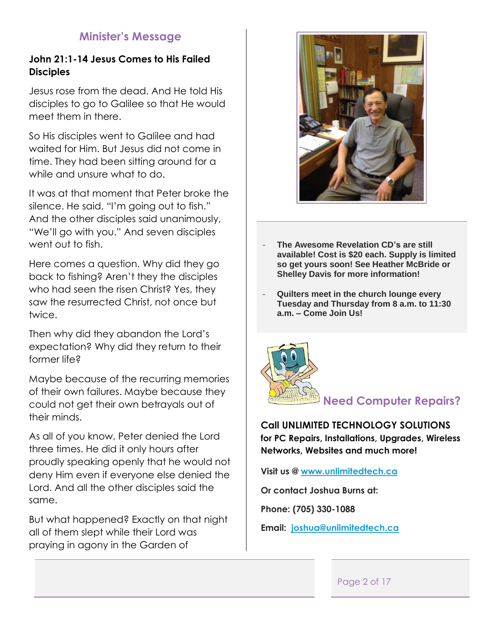# **Minister's Message**

# **John 21:1-14 Jesus Comes to His Failed Disciples**

Jesus rose from the dead. And He told His disciples to go to Galilee so that He would meet them in there.

So His disciples went to Galilee and had waited for Him. But Jesus did not come in time. They had been sitting around for a while and unsure what to do.

It was at that moment that Peter broke the silence. He said, "I'm going out to fish." And the other disciples said unanimously, "We'll go with you." And seven disciples went out to fish.

Here comes a question. Why did they go back to fishing? Aren't they the disciples who had seen the risen Christ? Yes, they saw the resurrected Christ, not once but twice.

Then why did they abandon the Lord's expectation? Why did they return to their former life?

Maybe because of the recurring memories of their own failures. Maybe because they could not get their own betrayals out of their minds.

As all of you know, Peter denied the Lord three times. He did it only hours after proudly speaking openly that he would not deny Him even if everyone else denied the Lord. And all the other disciples said the same.

But what happened? Exactly on that night all of them slept while their Lord was praying in agony in the Garden of



- **The Awesome Revelation CD's are still available! Cost is \$20 each. Supply is limited so get yours soon! See Heather McBride or Shelley Davis for more information!**
- **Quilters meet in the church lounge every Tuesday and Thursday from 8 a.m. to 11:30 a.m. – Come Join Us!**



**Call UNLIMITED TECHNOLOGY SOLUTIONS for PC Repairs, Installations, Upgrades, Wireless Networks, Websites and much more!**

**Visit us @ [www.unlimitedtech.ca](http://www.unlimitedtech.ca/)**

**Or contact Joshua Burns at:**

**Phone: (705) 330-1088**

**Email: [joshua@unlimitedtech.ca](mailto:joshua@unlimitedtech.ca)**

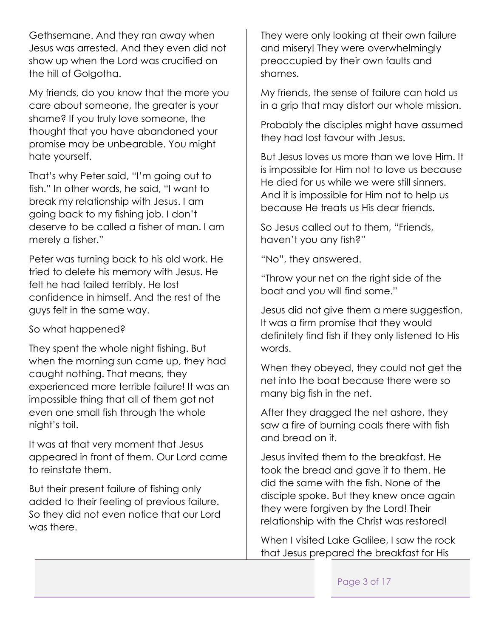Gethsemane. And they ran away when Jesus was arrested. And they even did not show up when the Lord was crucified on the hill of Golgotha.

My friends, do you know that the more you care about someone, the greater is your shame? If you truly love someone, the thought that you have abandoned your promise may be unbearable. You might hate yourself.

That's why Peter said, "I'm going out to fish." In other words, he said, "I want to break my relationship with Jesus. I am going back to my fishing job. I don't deserve to be called a fisher of man. I am merely a fisher."

Peter was turning back to his old work. He tried to delete his memory with Jesus. He felt he had failed terribly. He lost confidence in himself. And the rest of the guys felt in the same way.

So what happened?

They spent the whole night fishing. But when the morning sun came up, they had caught nothing. That means, they experienced more terrible failure! It was an impossible thing that all of them got not even one small fish through the whole night's toil.

It was at that very moment that Jesus appeared in front of them. Our Lord came to reinstate them.

But their present failure of fishing only added to their feeling of previous failure. So they did not even notice that our Lord was there.

They were only looking at their own failure and misery! They were overwhelmingly preoccupied by their own faults and shames.

My friends, the sense of failure can hold us in a grip that may distort our whole mission.

Probably the disciples might have assumed they had lost favour with Jesus.

But Jesus loves us more than we love Him. It is impossible for Him not to love us because He died for us while we were still sinners. And it is impossible for Him not to help us because He treats us His dear friends.

So Jesus called out to them, "Friends, haven't you any fish?"

"No", they answered.

"Throw your net on the right side of the boat and you will find some."

Jesus did not give them a mere suggestion. It was a firm promise that they would definitely find fish if they only listened to His words.

When they obeyed, they could not get the net into the boat because there were so many big fish in the net.

After they dragged the net ashore, they saw a fire of burning coals there with fish and bread on it.

Jesus invited them to the breakfast. He took the bread and gave it to them. He did the same with the fish. None of the disciple spoke. But they knew once again they were forgiven by the Lord! Their relationship with the Christ was restored!

When I visited Lake Galilee, I saw the rock that Jesus prepared the breakfast for His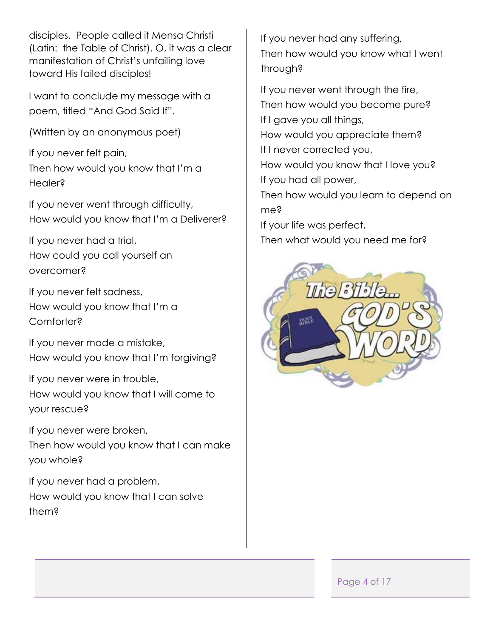disciples. People called it Mensa Christi (Latin: the Table of Christ). O, it was a clear manifestation of Christ's unfailing love toward His failed disciples!

I want to conclude my message with a poem, titled "And God Said If".

(Written by an anonymous poet)

If you never felt pain, Then how would you know that I'm a Healer?

If you never went through difficulty, How would you know that I'm a Deliverer?

If you never had a trial, How could you call yourself an overcomer?

If you never felt sadness, How would you know that I'm a Comforter?

If you never made a mistake, How would you know that I'm forgiving?

If you never were in trouble, How would you know that I will come to your rescue?

If you never were broken,

Then how would you know that I can make you whole?

If you never had a problem, How would you know that I can solve them?

If you never had any suffering, Then how would you know what I went through?

If you never went through the fire, Then how would you become pure? If I gave you all things, How would you appreciate them? If I never corrected you, How would you know that I love you? If you had all power, Then how would you learn to depend on me? If your life was perfect, Then what would you need me for?



Page 4 of 17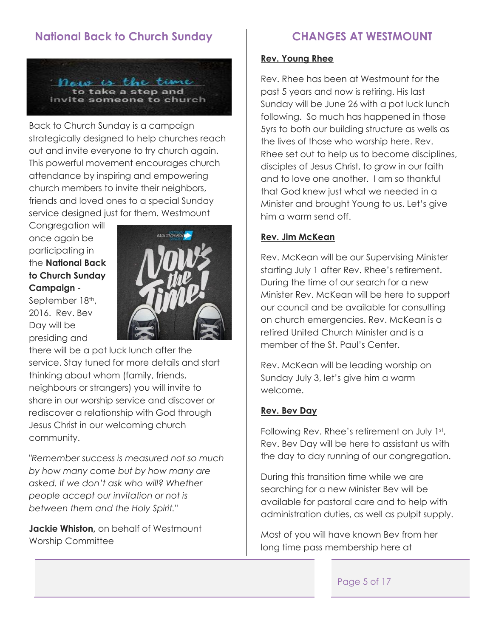# **National Back to Church Sunday**



Back to Church Sunday is a campaign strategically designed to help churches reach out and invite everyone to try church again. This powerful movement encourages church attendance by inspiring and empowering church members to invite their neighbors, friends and loved ones to a special Sunday service designed just for them. Westmount

Congregation will once again be participating in the **National Back to Church Sunday Campaign** -

September 18th, 2016. Rev. Bev Day will be presiding and



there will be a pot luck lunch after the service. Stay tuned for more details and start thinking about whom (family, friends, neighbours or strangers) you will invite to share in our worship service and discover or rediscover a relationship with God through Jesus Christ in our welcoming church community.

*"Remember success is measured not so much by how many come but by how many are asked. If we don't ask who will? Whether people accept our invitation or not is between them and the Holy Spirit."*

**Jackie Whiston,** on behalf of Westmount Worship Committee

# **CHANGES AT WESTMOUNT**

#### **Rev. Young Rhee**

Rev. Rhee has been at Westmount for the past 5 years and now is retiring. His last Sunday will be June 26 with a pot luck lunch following. So much has happened in those 5yrs to both our building structure as wells as the lives of those who worship here. Rev. Rhee set out to help us to become disciplines, disciples of Jesus Christ, to grow in our faith and to love one another. I am so thankful that God knew just what we needed in a Minister and brought Young to us. Let's give him a warm send off.

#### **Rev. Jim McKean**

Rev. McKean will be our Supervising Minister starting July 1 after Rev. Rhee's retirement. During the time of our search for a new Minister Rev. McKean will be here to support our council and be available for consulting on church emergencies. Rev. McKean is a retired United Church Minister and is a member of the St. Paul's Center.

Rev. McKean will be leading worship on Sunday July 3, let's give him a warm welcome.

#### **Rev. Bev Day**

Following Rev. Rhee's retirement on July 1st, Rev. Bev Day will be here to assistant us with the day to day running of our congregation.

During this transition time while we are searching for a new Minister Bev will be available for pastoral care and to help with administration duties, as well as pulpit supply.

Most of you will have known Bev from her long time pass membership here at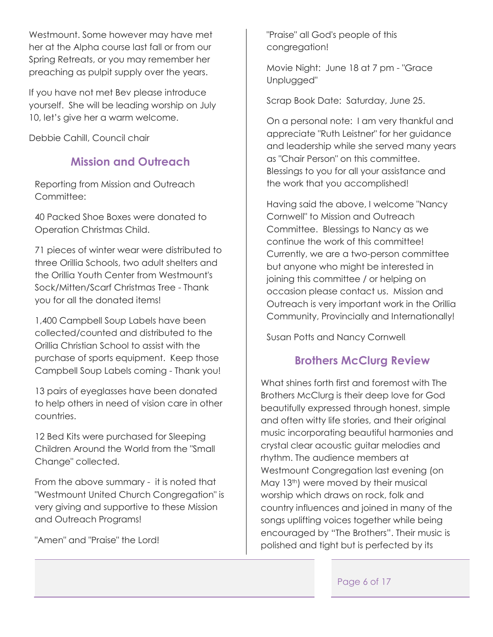Westmount. Some however may have met her at the Alpha course last fall or from our Spring Retreats, or you may remember her preaching as pulpit supply over the years.

If you have not met Bev please introduce yourself. She will be leading worship on July 10, let's give her a warm welcome.

Debbie Cahill, Council chair

# **Mission and Outreach**

Reporting from Mission and Outreach Committee:

40 Packed Shoe Boxes were donated to Operation Christmas Child.

71 pieces of winter wear were distributed to three Orillia Schools, two adult shelters and the Orillia Youth Center from Westmount's Sock/Mitten/Scarf Christmas Tree - Thank you for all the donated items!

1,400 Campbell Soup Labels have been collected/counted and distributed to the Orillia Christian School to assist with the purchase of sports equipment. Keep those Campbell Soup Labels coming - Thank you!

13 pairs of eyeglasses have been donated to help others in need of vision care in other countries.

12 Bed Kits were purchased for Sleeping Children Around the World from the "Small Change" collected.

From the above summary - it is noted that "Westmount United Church Congregation" is very giving and supportive to these Mission and Outreach Programs!

"Amen" and "Praise" the Lord!

"Praise" all God's people of this congregation!

Movie Night: June 18 at 7 pm - "Grace Unplugged"

Scrap Book Date: Saturday, June 25.

On a personal note: I am very thankful and appreciate "Ruth Leistner" for her guidance and leadership while she served many years as "Chair Person" on this committee. Blessings to you for all your assistance and the work that you accomplished!

Having said the above, I welcome "Nancy Cornwell" to Mission and Outreach Committee. Blessings to Nancy as we continue the work of this committee! Currently, we are a two-person committee but anyone who might be interested in joining this committee / or helping on occasion please contact us. Mission and Outreach is very important work in the Orillia Community, Provincially and Internationally!

Susan Potts and Nancy Cornwell.

# **Brothers McClurg Review**

What shines forth first and foremost with The Brothers McClurg is their deep love for God beautifully expressed through honest, simple and often witty life stories, and their original music incorporating beautiful harmonies and crystal clear acoustic guitar melodies and rhythm. The audience members at Westmount Congregation last evening (on May 13<sup>th</sup>) were moved by their musical worship which draws on rock, folk and country influences and joined in many of the songs uplifting voices together while being encouraged by "The Brothers". Their music is polished and tight but is perfected by its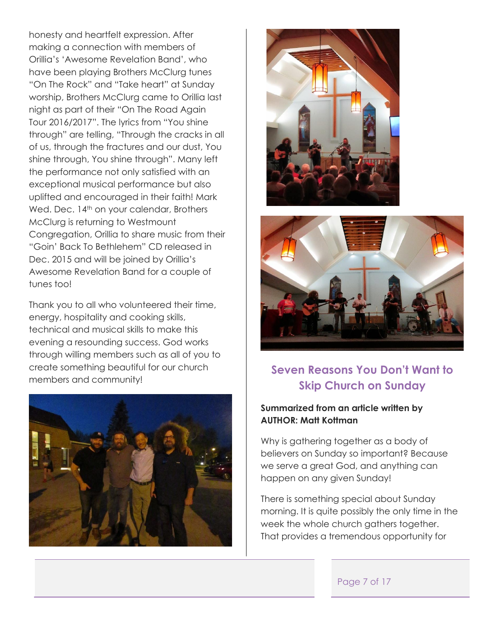honesty and heartfelt expression. After making a connection with members of Orillia's 'Awesome Revelation Band', who have been playing Brothers McClurg tunes "On The Rock" and "Take heart" at Sunday worship, Brothers McClurg came to Orillia last night as part of their "On The Road Again Tour 2016/2017". The lyrics from "You shine through" are telling, "Through the cracks in all of us, through the fractures and our dust, You shine through, You shine through". Many left the performance not only satisfied with an exceptional musical performance but also uplifted and encouraged in their faith! Mark Wed. Dec. 14<sup>th</sup> on your calendar, Brothers McClurg is returning to Westmount Congregation, Orillia to share music from their "Goin' Back To Bethlehem" CD released in Dec. 2015 and will be joined by Orillia's Awesome Revelation Band for a couple of tunes too!

Thank you to all who volunteered their time, energy, hospitality and cooking skills, technical and musical skills to make this evening a resounding success. God works through willing members such as all of you to create something beautiful for our church members and community!







# **Seven Reasons You Don't Want to Skip Church on Sunday**

#### **Summarized from an article written by AUTHOR: Matt Kottman**

Why is gathering together as a body of believers on Sunday so important? Because we serve a great God, and anything can happen on any given Sunday!

There is something special about Sunday morning. It is quite possibly the only time in the week the whole church gathers together. That provides a tremendous opportunity for

#### Page 7 of 17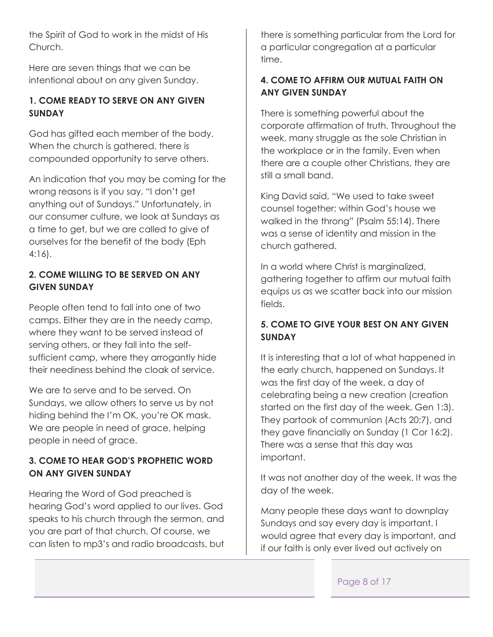the Spirit of God to work in the midst of His Church.

Here are seven things that we can be intentional about on any given Sunday.

# **1. COME READY TO SERVE ON ANY GIVEN SUNDAY**

God has gifted each member of the body. When the church is gathered, there is compounded opportunity to serve others.

An indication that you may be coming for the wrong reasons is if you say, "I don't get anything out of Sundays." Unfortunately, in our consumer culture, we look at Sundays as a time to get, but we are called to give of ourselves for the benefit of the body (Eph 4:16).

## **2. COME WILLING TO BE SERVED ON ANY GIVEN SUNDAY**

People often tend to fall into one of two camps. Either they are in the needy camp, where they want to be served instead of serving others, or they fall into the selfsufficient camp, where they arrogantly hide their neediness behind the cloak of service.

We are to serve and to be served. On Sundays, we allow others to serve us by not hiding behind the I'm OK, you're OK mask. We are people in need of grace, helping people in need of grace.

# **3. COME TO HEAR GOD'S PROPHETIC WORD ON ANY GIVEN SUNDAY**

Hearing the Word of God preached is hearing God's word applied to our lives. God speaks to his church through the sermon, and you are part of that church. Of course, we can listen to mp3's and radio broadcasts, but there is something particular from the Lord for a particular congregation at a particular time.

# **4. COME TO AFFIRM OUR MUTUAL FAITH ON ANY GIVEN SUNDAY**

There is something powerful about the corporate affirmation of truth. Throughout the week, many struggle as the sole Christian in the workplace or in the family. Even when there are a couple other Christians, they are still a small band.

King David said, "We used to take sweet counsel together; within God's house we walked in the throng" (Psalm 55:14). There was a sense of identity and mission in the church gathered.

In a world where Christ is marginalized, gathering together to affirm our mutual faith equips us as we scatter back into our mission fields.

## **5. COME TO GIVE YOUR BEST ON ANY GIVEN SUNDAY**

It is interesting that a lot of what happened in the early church, happened on Sundays. It was the first day of the week, a day of celebrating being a new creation (creation started on the first day of the week, Gen 1:3). They partook of communion (Acts 20:7), and they gave financially on Sunday (1 Cor 16:2). There was a sense that this day was important.

It was not another day of the week. It was the day of the week.

Many people these days want to downplay Sundays and say every day is important. I would agree that every day is important, and if our faith is only ever lived out actively on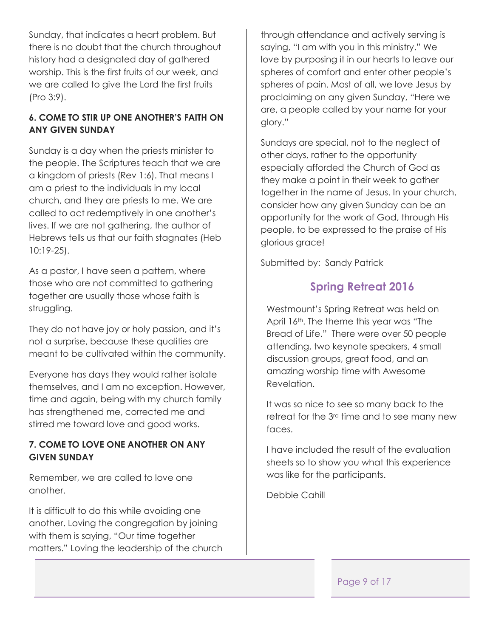Sunday, that indicates a heart problem. But there is no doubt that the church throughout history had a designated day of gathered worship. This is the first fruits of our week, and we are called to give the Lord the first fruits (Pro 3:9).

# **6. COME TO STIR UP ONE ANOTHER'S FAITH ON ANY GIVEN SUNDAY**

Sunday is a day when the priests minister to the people. The Scriptures teach that we are a kingdom of priests (Rev 1:6). That means I am a priest to the individuals in my local church, and they are priests to me. We are called to act redemptively in one another's lives. If we are not gathering, the author of Hebrews tells us that our faith stagnates (Heb 10:19-25).

As a pastor, I have seen a pattern, where those who are not committed to gathering together are usually those whose faith is struggling.

They do not have joy or holy passion, and it's not a surprise, because these qualities are meant to be cultivated within the community.

Everyone has days they would rather isolate themselves, and I am no exception. However, time and again, being with my church family has strengthened me, corrected me and stirred me toward love and good works.

## **7. COME TO LOVE ONE ANOTHER ON ANY GIVEN SUNDAY**

Remember, we are called to love one another.

It is difficult to do this while avoiding one another. Loving the congregation by joining with them is saying, "Our time together matters." Loving the leadership of the church

through attendance and actively serving is saying, "I am with you in this ministry." We love by purposing it in our hearts to leave our spheres of comfort and enter other people's spheres of pain. Most of all, we love Jesus by proclaiming on any given Sunday, "Here we are, a people called by your name for your glory."

Sundays are special, not to the neglect of other days, rather to the opportunity especially afforded the Church of God as they make a point in their week to gather together in the name of Jesus. In your church, consider how any given Sunday can be an opportunity for the work of God, through His people, to be expressed to the praise of His glorious grace!

Submitted by: Sandy Patrick

# **Spring Retreat 2016**

Westmount's Spring Retreat was held on April 16<sup>th</sup>. The theme this year was "The Bread of Life." There were over 50 people attending, two keynote speakers, 4 small discussion groups, great food, and an amazing worship time with Awesome Revelation.

It was so nice to see so many back to the retreat for the 3<sup>rd</sup> time and to see many new faces.

I have included the result of the evaluation sheets so to show you what this experience was like for the participants.

Debbie Cahill

Page 9 of 17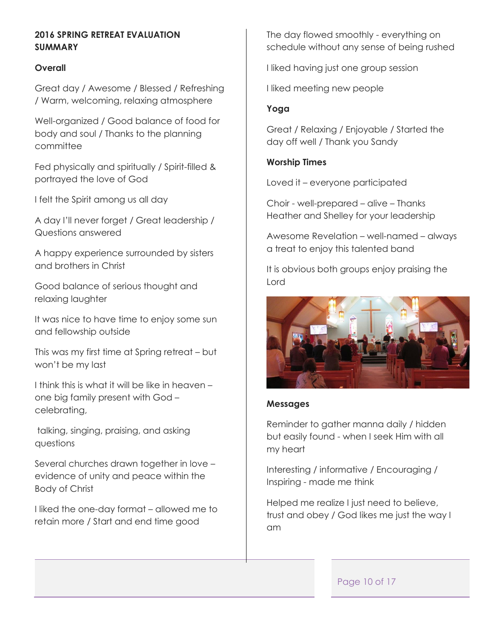## **2016 SPRING RETREAT EVALUATION SUMMARY**

#### **Overall**

Great day / Awesome / Blessed / Refreshing / Warm, welcoming, relaxing atmosphere

Well-organized / Good balance of food for body and soul / Thanks to the planning committee

Fed physically and spiritually / Spirit-filled & portrayed the love of God

I felt the Spirit among us all day

A day I'll never forget / Great leadership / Questions answered

A happy experience surrounded by sisters and brothers in Christ

Good balance of serious thought and relaxing laughter

It was nice to have time to enjoy some sun and fellowship outside

This was my first time at Spring retreat – but won't be my last

I think this is what it will be like in heaven – one big family present with God – celebrating,

talking, singing, praising, and asking questions

Several churches drawn together in love – evidence of unity and peace within the Body of Christ

I liked the one-day format – allowed me to retain more / Start and end time good

The day flowed smoothly - everything on schedule without any sense of being rushed

I liked having just one group session

I liked meeting new people

#### **Yoga**

Great / Relaxing / Enjoyable / Started the day off well / Thank you Sandy

#### **Worship Times**

Loved it – everyone participated

Choir - well-prepared – alive – Thanks Heather and Shelley for your leadership

Awesome Revelation – well-named – always a treat to enjoy this talented band

It is obvious both groups enjoy praising the Lord



#### **Messages**

Reminder to gather manna daily / hidden but easily found - when I seek Him with all my heart

Interesting / informative / Encouraging / Inspiring - made me think

Helped me realize I just need to believe, trust and obey / God likes me just the way I am

#### Page 10 of 17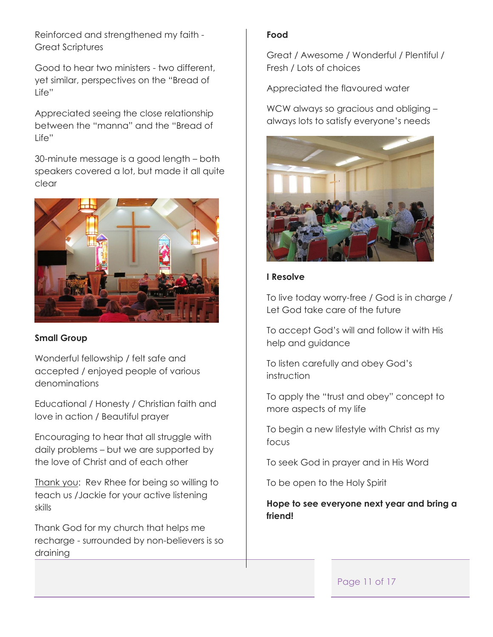Reinforced and strengthened my faith - Great Scriptures

Good to hear two ministers - two different, yet similar, perspectives on the "Bread of Life"

Appreciated seeing the close relationship between the "manna" and the "Bread of Life"

30-minute message is a good length – both speakers covered a lot, but made it all quite clear



#### **Small Group**

Wonderful fellowship / felt safe and accepted / enjoyed people of various denominations

Educational / Honesty / Christian faith and love in action / Beautiful prayer

Encouraging to hear that all struggle with daily problems – but we are supported by the love of Christ and of each other

Thank you: Rev Rhee for being so willing to teach us /Jackie for your active listening skills

Thank God for my church that helps me recharge - surrounded by non-believers is so draining

#### **Food**

Great / Awesome / Wonderful / Plentiful / Fresh / Lots of choices

Appreciated the flavoured water

WCW always so gracious and obliging – always lots to satisfy everyone's needs



## **I Resolve**

To live today worry-free / God is in charge / Let God take care of the future

To accept God's will and follow it with His help and guidance

To listen carefully and obey God's instruction

To apply the "trust and obey" concept to more aspects of my life

To begin a new lifestyle with Christ as my focus

To seek God in prayer and in His Word

To be open to the Holy Spirit

**Hope to see everyone next year and bring a friend!**

## Page 11 of 17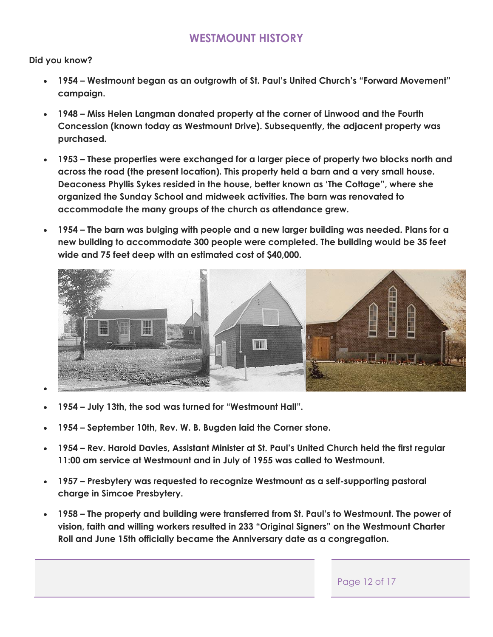# **WESTMOUNT HISTORY**

**Did you know?**

- **1954 – Westmount began as an outgrowth of St. Paul's United Church's "Forward Movement" campaign.**
- **1948 – Miss Helen Langman donated property at the corner of Linwood and the Fourth Concession (known today as Westmount Drive). Subsequently, the adjacent property was purchased.**
- **1953 – These properties were exchanged for a larger piece of property two blocks north and across the road (the present location). This property held a barn and a very small house. Deaconess Phyllis Sykes resided in the house, better known as 'The Cottage", where she organized the Sunday School and midweek activities. The barn was renovated to accommodate the many groups of the church as attendance grew.**
- **1954 – The barn was bulging with people and a new larger building was needed. Plans for a new building to accommodate 300 people were completed. The building would be 35 feet wide and 75 feet deep with an estimated cost of \$40,000.**



- **1954 – July 13th, the sod was turned for "Westmount Hall".**
- **1954 – September 10th, Rev. W. B. Bugden laid the Corner stone.**
- **1954 – Rev. Harold Davies, Assistant Minister at St. Paul's United Church held the first regular 11:00 am service at Westmount and in July of 1955 was called to Westmount.**
- **1957 – Presbytery was requested to recognize Westmount as a self-supporting pastoral charge in Simcoe Presbytery.**
- **1958 – The property and building were transferred from St. Paul's to Westmount. The power of vision, faith and willing workers resulted in 233 "Original Signers" on the Westmount Charter Roll and June 15th officially became the Anniversary date as a congregation.**

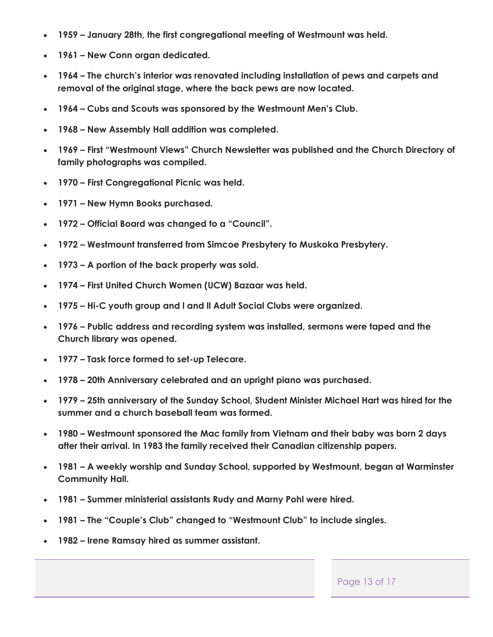- **1959 – January 28th, the first congregational meeting of Westmount was held.**
- **1961 – New Conn organ dedicated.**
- **1964 – The church's interior was renovated including installation of pews and carpets and removal of the original stage, where the back pews are now located.**
- **1964 – Cubs and Scouts was sponsored by the Westmount Men's Club.**
- **1968 – New Assembly Hall addition was completed.**
- **1969 – First "Westmount Views" Church Newsletter was published and the Church Directory of family photographs was compiled.**
- **1970 – First Congregational Picnic was held.**
- **1971 – New Hymn Books purchased.**
- **1972 – Official Board was changed to a "Council".**
- **1972 – Westmount transferred from Simcoe Presbytery to Muskoka Presbytery.**
- **1973 – A portion of the back property was sold.**
- **1974 – First United Church Women (UCW) Bazaar was held.**
- **1975 – Hi-C youth group and l and ll Adult Social Clubs were organized.**
- **1976 – Public address and recording system was installed, sermons were taped and the Church library was opened.**
- **1977 – Task force formed to set-up Telecare.**
- **1978 – 20th Anniversary celebrated and an upright piano was purchased.**
- **1979 – 25th anniversary of the Sunday School, Student Minister Michael Hart was hired for the summer and a church baseball team was formed.**
- **1980 – Westmount sponsored the Mac family from Vietnam and their baby was born 2 days after their arrival. In 1983 the family received their Canadian citizenship papers.**
- **1981 – A weekly worship and Sunday School, supported by Westmount, began at Warminster Community Hall.**
- **1981 – Summer ministerial assistants Rudy and Marny Pohl were hired.**
- **1981 – The "Couple's Club" changed to "Westmount Club" to include singles.**
- **1982 – Irene Ramsay hired as summer assistant.**

#### Page 13 of 17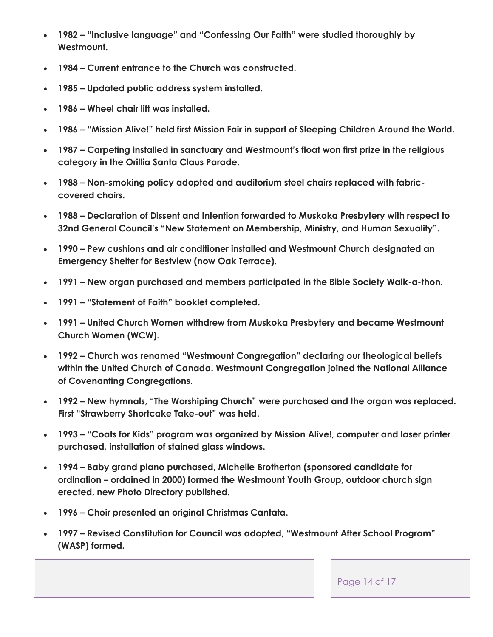- **1982 – "Inclusive language" and "Confessing Our Faith" were studied thoroughly by Westmount.**
- **1984 – Current entrance to the Church was constructed.**
- **1985 – Updated public address system installed.**
- **1986 – Wheel chair lift was installed.**
- **1986 – "Mission Alive!" held first Mission Fair in support of Sleeping Children Around the World.**
- **1987 – Carpeting installed in sanctuary and Westmount's float won first prize in the religious category in the Orillia Santa Claus Parade.**
- **1988 – Non-smoking policy adopted and auditorium steel chairs replaced with fabriccovered chairs.**
- **1988 – Declaration of Dissent and Intention forwarded to Muskoka Presbytery with respect to 32nd General Council's "New Statement on Membership, Ministry, and Human Sexuality".**
- **1990 – Pew cushions and air conditioner installed and Westmount Church designated an Emergency Shelter for Bestview (now Oak Terrace).**
- **1991 – New organ purchased and members participated in the Bible Society Walk-a-thon.**
- **1991 – "Statement of Faith" booklet completed.**
- **1991 – United Church Women withdrew from Muskoka Presbytery and became Westmount Church Women (WCW).**
- **1992 – Church was renamed "Westmount Congregation" declaring our theological beliefs within the United Church of Canada. Westmount Congregation joined the National Alliance of Covenanting Congregations.**
- **1992 – New hymnals, "The Worshiping Church" were purchased and the organ was replaced. First "Strawberry Shortcake Take-out" was held.**
- **1993 – "Coats for Kids" program was organized by Mission Alive!, computer and laser printer purchased, installation of stained glass windows.**
- **1994 – Baby grand piano purchased, Michelle Brotherton (sponsored candidate for ordination – ordained in 2000) formed the Westmount Youth Group, outdoor church sign erected, new Photo Directory published.**
- **1996 – Choir presented an original Christmas Cantata.**
- **1997 – Revised Constitution for Council was adopted, "Westmount After School Program" (WASP) formed.**

Page 14 of 17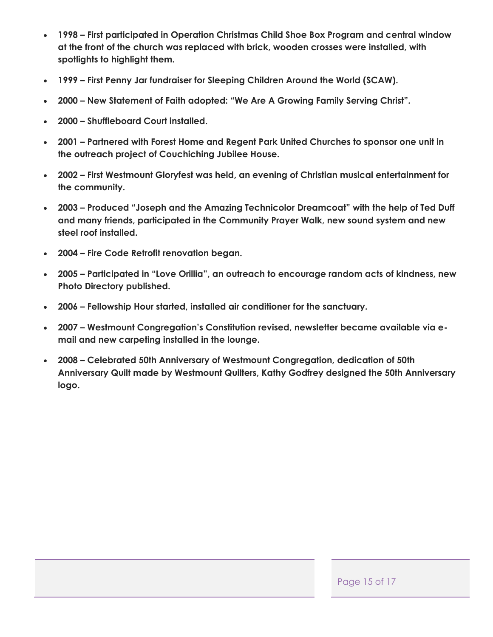- **1998 – First participated in Operation Christmas Child Shoe Box Program and central window at the front of the church was replaced with brick, wooden crosses were installed, with spotlights to highlight them.**
- **1999 – First Penny Jar fundraiser for Sleeping Children Around the World (SCAW).**
- **2000 – New Statement of Faith adopted: "We Are A Growing Family Serving Christ".**
- **2000 – Shuffleboard Court installed.**
- **2001 – Partnered with Forest Home and Regent Park United Churches to sponsor one unit in the outreach project of Couchiching Jubilee House.**
- **2002 – First Westmount Gloryfest was held, an evening of Christian musical entertainment for the community.**
- **2003 – Produced "Joseph and the Amazing Technicolor Dreamcoat" with the help of Ted Duff and many friends, participated in the Community Prayer Walk, new sound system and new steel roof installed.**
- **2004 – Fire Code Retrofit renovation began.**
- **2005 – Participated in "Love Orillia", an outreach to encourage random acts of kindness, new Photo Directory published.**
- **2006 – Fellowship Hour started, installed air conditioner for the sanctuary.**
- **2007 – Westmount Congregation's Constitution revised, newsletter became available via email and new carpeting installed in the lounge.**
- **2008 – Celebrated 50th Anniversary of Westmount Congregation, dedication of 50th Anniversary Quilt made by Westmount Quilters, Kathy Godfrey designed the 50th Anniversary logo.**

Page 15 of 17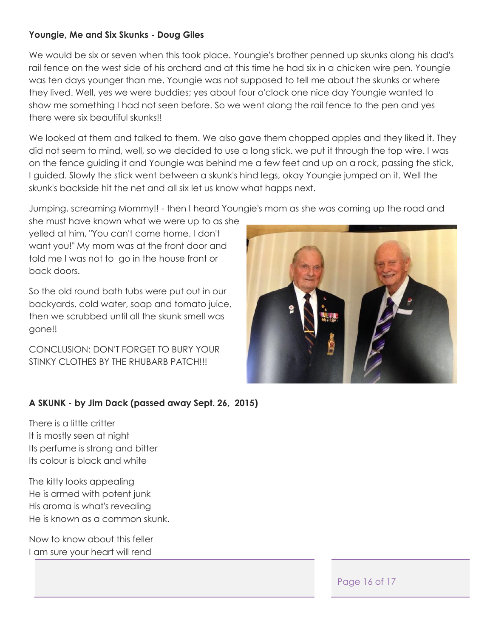## **Youngie, Me and Six Skunks - Doug Giles**

We would be six or seven when this took place. Youngie's brother penned up skunks along his dad's rail fence on the west side of his orchard and at this time he had six in a chicken wire pen. Youngie was ten days younger than me. Youngie was not supposed to tell me about the skunks or where they lived. Well, yes we were buddies; yes about four o'clock one nice day Youngie wanted to show me something I had not seen before. So we went along the rail fence to the pen and yes there were six beautiful skunks!!

We looked at them and talked to them. We also gave them chopped apples and they liked it. They did not seem to mind, well, so we decided to use a long stick. we put it through the top wire. I was on the fence guiding it and Youngie was behind me a few feet and up on a rock, passing the stick, I guided. Slowly the stick went between a skunk's hind legs, okay Youngie jumped on it. Well the skunk's backside hit the net and all six let us know what happs next.

Jumping, screaming Mommy!! - then I heard Youngie's mom as she was coming up the road and

she must have known what we were up to as she yelled at him, "You can't come home. I don't want you!" My mom was at the front door and told me I was not to go in the house front or back doors.

So the old round bath tubs were put out in our backyards, cold water, soap and tomato juice, then we scrubbed until all the skunk smell was gone!!

CONCLUSION: DON'T FORGET TO BURY YOUR STINKY CLOTHES BY THE RHUBARB PATCH!!!



## **A SKUNK - by Jim Dack (passed away Sept. 26, 2015)**

There is a little critter It is mostly seen at night Its perfume is strong and bitter Its colour is black and white

The kitty looks appealing He is armed with potent junk His aroma is what's revealing He is known as a common skunk.

Now to know about this feller I am sure your heart will rend

Page 16 of 17